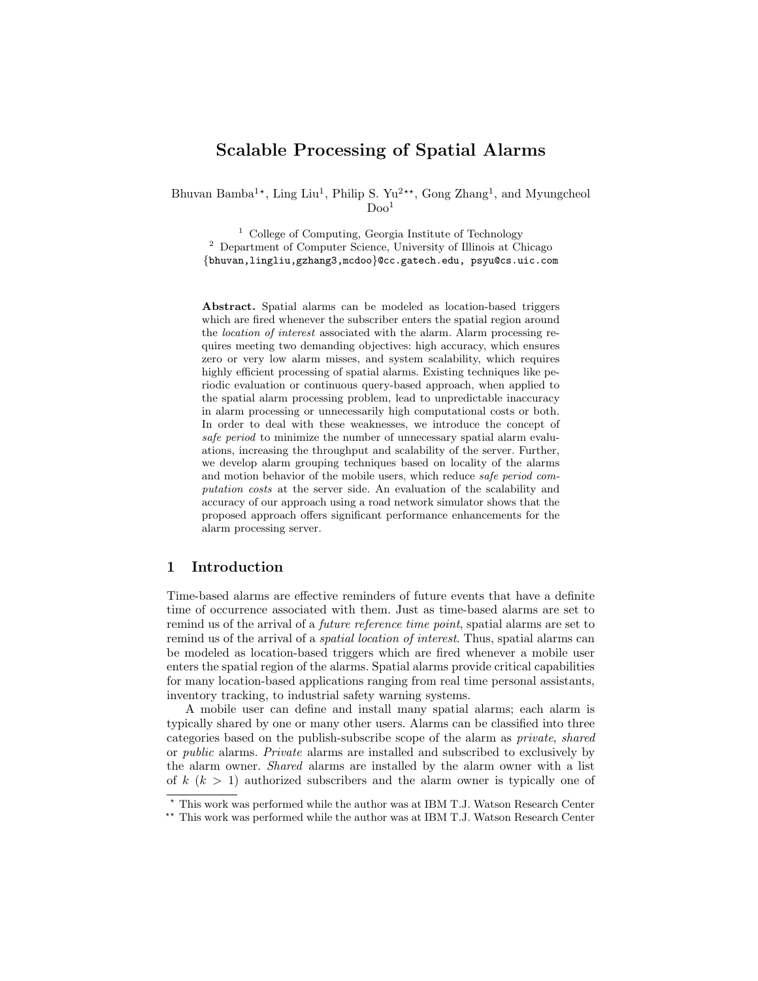# Scalable Processing of Spatial Alarms

Bhuvan Bamba<sup>1\*</sup>, Ling Liu<sup>1</sup>, Philip S. Yu<sup>2\*\*</sup>, Gong Zhang<sup>1</sup>, and Myungcheol  $Doo<sup>1</sup>$ 

<sup>1</sup> College of Computing, Georgia Institute of Technology <sup>2</sup> Department of Computer Science, University of Illinois at Chicago {bhuvan,lingliu,gzhang3,mcdoo}@cc.gatech.edu, psyu@cs.uic.com

Abstract. Spatial alarms can be modeled as location-based triggers which are fired whenever the subscriber enters the spatial region around the location of interest associated with the alarm. Alarm processing requires meeting two demanding objectives: high accuracy, which ensures zero or very low alarm misses, and system scalability, which requires highly efficient processing of spatial alarms. Existing techniques like periodic evaluation or continuous query-based approach, when applied to the spatial alarm processing problem, lead to unpredictable inaccuracy in alarm processing or unnecessarily high computational costs or both. In order to deal with these weaknesses, we introduce the concept of safe period to minimize the number of unnecessary spatial alarm evaluations, increasing the throughput and scalability of the server. Further, we develop alarm grouping techniques based on locality of the alarms and motion behavior of the mobile users, which reduce safe period computation costs at the server side. An evaluation of the scalability and accuracy of our approach using a road network simulator shows that the proposed approach offers significant performance enhancements for the alarm processing server.

# 1 Introduction

Time-based alarms are effective reminders of future events that have a definite time of occurrence associated with them. Just as time-based alarms are set to remind us of the arrival of a future reference time point, spatial alarms are set to remind us of the arrival of a spatial location of interest. Thus, spatial alarms can be modeled as location-based triggers which are fired whenever a mobile user enters the spatial region of the alarms. Spatial alarms provide critical capabilities for many location-based applications ranging from real time personal assistants, inventory tracking, to industrial safety warning systems.

A mobile user can define and install many spatial alarms; each alarm is typically shared by one or many other users. Alarms can be classified into three categories based on the publish-subscribe scope of the alarm as private, shared or public alarms. Private alarms are installed and subscribed to exclusively by the alarm owner. Shared alarms are installed by the alarm owner with a list of  $k$  ( $k > 1$ ) authorized subscribers and the alarm owner is typically one of

<sup>?</sup> This work was performed while the author was at IBM T.J. Watson Research Center

<sup>\*\*</sup> This work was performed while the author was at IBM T.J. Watson Research Center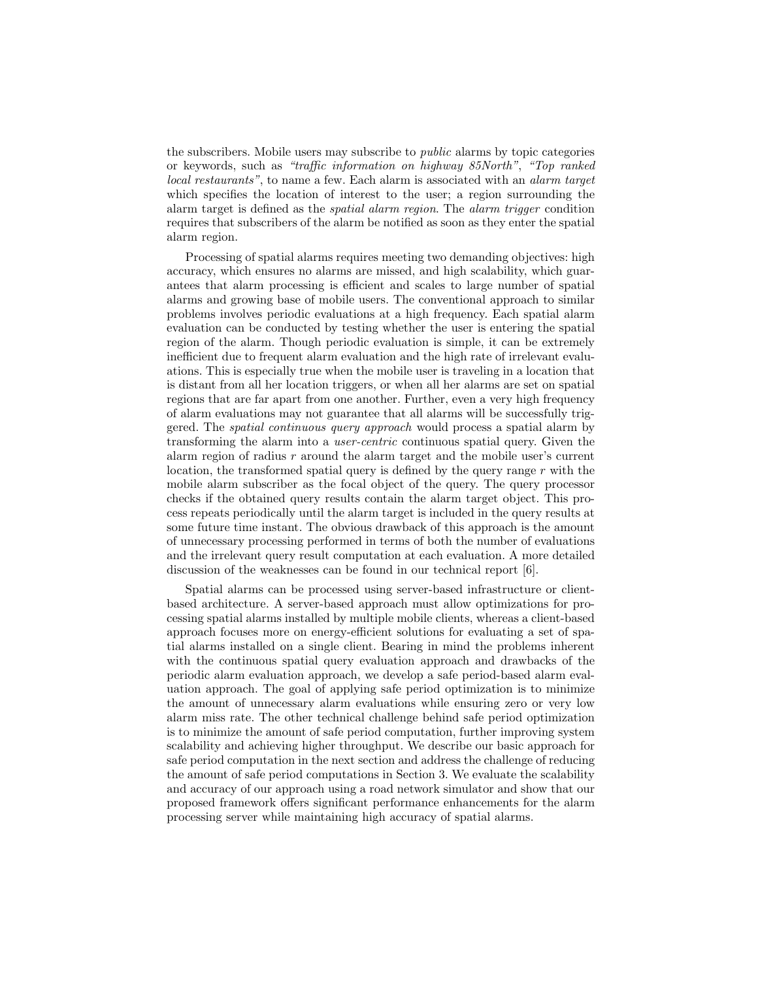the subscribers. Mobile users may subscribe to public alarms by topic categories or keywords, such as "traffic information on highway 85North", "Top ranked local restaurants", to name a few. Each alarm is associated with an *alarm target* which specifies the location of interest to the user; a region surrounding the alarm target is defined as the spatial alarm region. The alarm trigger condition requires that subscribers of the alarm be notified as soon as they enter the spatial alarm region.

Processing of spatial alarms requires meeting two demanding objectives: high accuracy, which ensures no alarms are missed, and high scalability, which guarantees that alarm processing is efficient and scales to large number of spatial alarms and growing base of mobile users. The conventional approach to similar problems involves periodic evaluations at a high frequency. Each spatial alarm evaluation can be conducted by testing whether the user is entering the spatial region of the alarm. Though periodic evaluation is simple, it can be extremely inefficient due to frequent alarm evaluation and the high rate of irrelevant evaluations. This is especially true when the mobile user is traveling in a location that is distant from all her location triggers, or when all her alarms are set on spatial regions that are far apart from one another. Further, even a very high frequency of alarm evaluations may not guarantee that all alarms will be successfully triggered. The spatial continuous query approach would process a spatial alarm by transforming the alarm into a user-centric continuous spatial query. Given the alarm region of radius  $r$  around the alarm target and the mobile user's current location, the transformed spatial query is defined by the query range  $r$  with the mobile alarm subscriber as the focal object of the query. The query processor checks if the obtained query results contain the alarm target object. This process repeats periodically until the alarm target is included in the query results at some future time instant. The obvious drawback of this approach is the amount of unnecessary processing performed in terms of both the number of evaluations and the irrelevant query result computation at each evaluation. A more detailed discussion of the weaknesses can be found in our technical report [6].

Spatial alarms can be processed using server-based infrastructure or clientbased architecture. A server-based approach must allow optimizations for processing spatial alarms installed by multiple mobile clients, whereas a client-based approach focuses more on energy-efficient solutions for evaluating a set of spatial alarms installed on a single client. Bearing in mind the problems inherent with the continuous spatial query evaluation approach and drawbacks of the periodic alarm evaluation approach, we develop a safe period-based alarm evaluation approach. The goal of applying safe period optimization is to minimize the amount of unnecessary alarm evaluations while ensuring zero or very low alarm miss rate. The other technical challenge behind safe period optimization is to minimize the amount of safe period computation, further improving system scalability and achieving higher throughput. We describe our basic approach for safe period computation in the next section and address the challenge of reducing the amount of safe period computations in Section 3. We evaluate the scalability and accuracy of our approach using a road network simulator and show that our proposed framework offers significant performance enhancements for the alarm processing server while maintaining high accuracy of spatial alarms.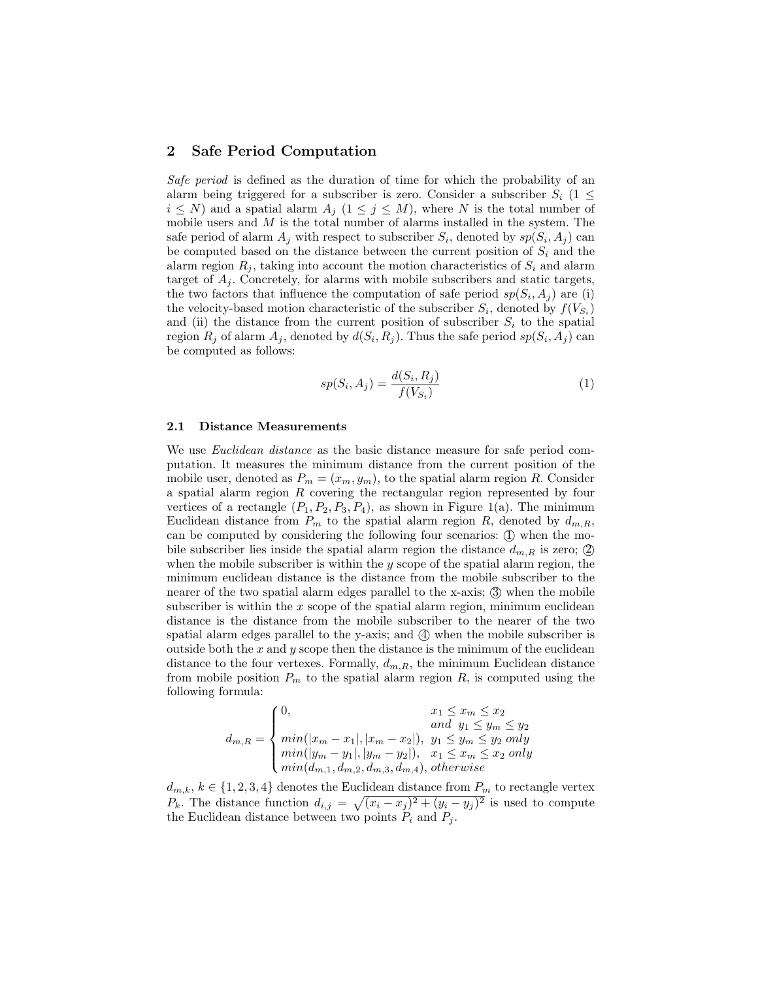## 2 Safe Period Computation

Safe period is defined as the duration of time for which the probability of an alarm being triggered for a subscriber is zero. Consider a subscriber  $S_i$  (1  $\leq$  $i \leq N$ ) and a spatial alarm  $A_j$   $(1 \leq j \leq M)$ , where N is the total number of mobile users and  $M$  is the total number of alarms installed in the system. The safe period of alarm  $A_j$  with respect to subscriber  $S_i$ , denoted by  $sp(S_i, A_j)$  can be computed based on the distance between the current position of  $S_i$  and the alarm region  $R_j$ , taking into account the motion characteristics of  $S_i$  and alarm target of  $A_i$ . Concretely, for alarms with mobile subscribers and static targets, the two factors that influence the computation of safe period  $sp(S_i, A_j)$  are (i) the velocity-based motion characteristic of the subscriber  $S_i$ , denoted by  $f(V_{S_i})$ and (ii) the distance from the current position of subscriber  $S_i$  to the spatial region  $R_j$  of alarm  $A_j$ , denoted by  $d(S_i, R_j)$ . Thus the safe period  $sp(S_i, A_j)$  can be computed as follows:

$$
sp(S_i, A_j) = \frac{d(S_i, R_j)}{f(V_{S_i})}
$$
\n(1)

#### 2.1 Distance Measurements

We use *Euclidean distance* as the basic distance measure for safe period computation. It measures the minimum distance from the current position of the mobile user, denoted as  $P_m = (x_m, y_m)$ , to the spatial alarm region R. Consider a spatial alarm region R covering the rectangular region represented by four vertices of a rectangle  $(P_1, P_2, P_3, P_4)$ , as shown in Figure 1(a). The minimum Euclidean distance from  $P_m$  to the spatial alarm region R, denoted by  $d_{m,R}$ , can be computed by considering the following four scenarios:  $\Phi$  when the mobile subscriber lies inside the spatial alarm region the distance  $d_{m,R}$  is zero;  $\mathcal{Q}$ when the mobile subscriber is within the  $y$  scope of the spatial alarm region, the minimum euclidean distance is the distance from the mobile subscriber to the nearer of the two spatial alarm edges parallel to the x-axis; 3 when the mobile subscriber is within the  $x$  scope of the spatial alarm region, minimum euclidean distance is the distance from the mobile subscriber to the nearer of the two spatial alarm edges parallel to the y-axis; and  $\Phi$  when the mobile subscriber is outside both the  $x$  and  $y$  scope then the distance is the minimum of the euclidean distance to the four vertexes. Formally,  $d_{m,R}$ , the minimum Euclidean distance from mobile position  $P_m$  to the spatial alarm region  $R$ , is computed using the following formula:

$$
d_{m,R} = \begin{cases} 0, & x_1 \le x_m \le x_2 \\ min(|x_m - x_1|, |x_m - x_2|), & y_1 \le y_m \le y_2 \text{ only} \\ min(|y_m - y_1|, |y_m - y_2|), & x_1 \le x_m \le x_2 \text{ only} \\ min(d_{m,1}, d_{m,2}, d_{m,3}, d_{m,4}), \text{ otherwise} \end{cases}
$$

 $d_{m,k}, k \in \{1,2,3,4\}$  denotes the Euclidean distance from  $P_m$  to rectangle vertex  $P_k$ . The distance function  $d_{i,j} = \sqrt{(x_i - x_j)^2 + (y_i - y_j)^2}$  is used to compute the Euclidean distance between two points  $P_i$  and  $P_j$ .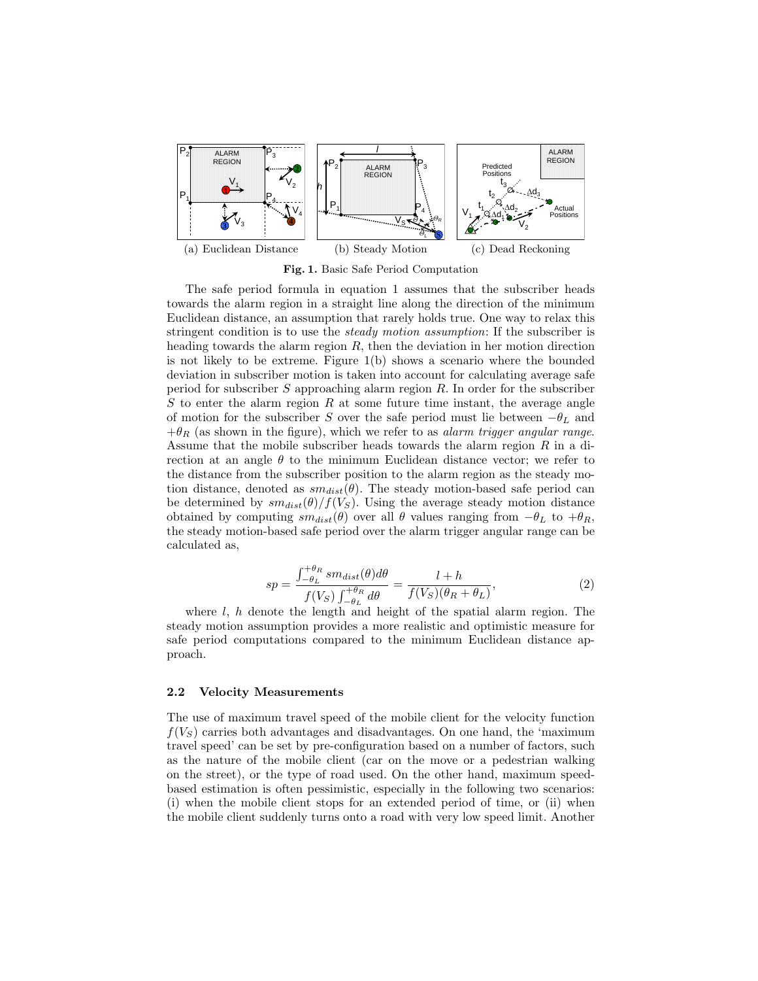

Fig. 1. Basic Safe Period Computation

The safe period formula in equation 1 assumes that the subscriber heads towards the alarm region in a straight line along the direction of the minimum Euclidean distance, an assumption that rarely holds true. One way to relax this stringent condition is to use the *steady motion assumption*: If the subscriber is heading towards the alarm region  $R$ , then the deviation in her motion direction is not likely to be extreme. Figure 1(b) shows a scenario where the bounded deviation in subscriber motion is taken into account for calculating average safe period for subscriber  $S$  approaching alarm region  $R$ . In order for the subscriber  $S$  to enter the alarm region  $R$  at some future time instant, the average angle of motion for the subscriber S over the safe period must lie between  $-\theta_L$  and  $+\theta_R$  (as shown in the figure), which we refer to as alarm trigger angular range. Assume that the mobile subscriber heads towards the alarm region R in a direction at an angle  $\theta$  to the minimum Euclidean distance vector; we refer to the distance from the subscriber position to the alarm region as the steady motion distance, denoted as  $sm_{dist}(\theta)$ . The steady motion-based safe period can be determined by  $sm_{dist}(\theta)/f(V_S)$ . Using the average steady motion distance obtained by computing  $sm_{dist}(\theta)$  over all  $\theta$  values ranging from  $-\theta_L$  to  $+\theta_R$ , the steady motion-based safe period over the alarm trigger angular range can be calculated as,

$$
sp = \frac{\int_{-\theta_L}^{+\theta_R} sm_{dist}(\theta)d\theta}{f(V_S)\int_{-\theta_L}^{+\theta_R} d\theta} = \frac{l+h}{f(V_S)(\theta_R + \theta_L)},
$$
\n(2)

where  $l, h$  denote the length and height of the spatial alarm region. The steady motion assumption provides a more realistic and optimistic measure for safe period computations compared to the minimum Euclidean distance approach.

#### 2.2 Velocity Measurements

The use of maximum travel speed of the mobile client for the velocity function  $f(V<sub>S</sub>)$  carries both advantages and disadvantages. On one hand, the 'maximum travel speed' can be set by pre-configuration based on a number of factors, such as the nature of the mobile client (car on the move or a pedestrian walking on the street), or the type of road used. On the other hand, maximum speedbased estimation is often pessimistic, especially in the following two scenarios: (i) when the mobile client stops for an extended period of time, or (ii) when the mobile client suddenly turns onto a road with very low speed limit. Another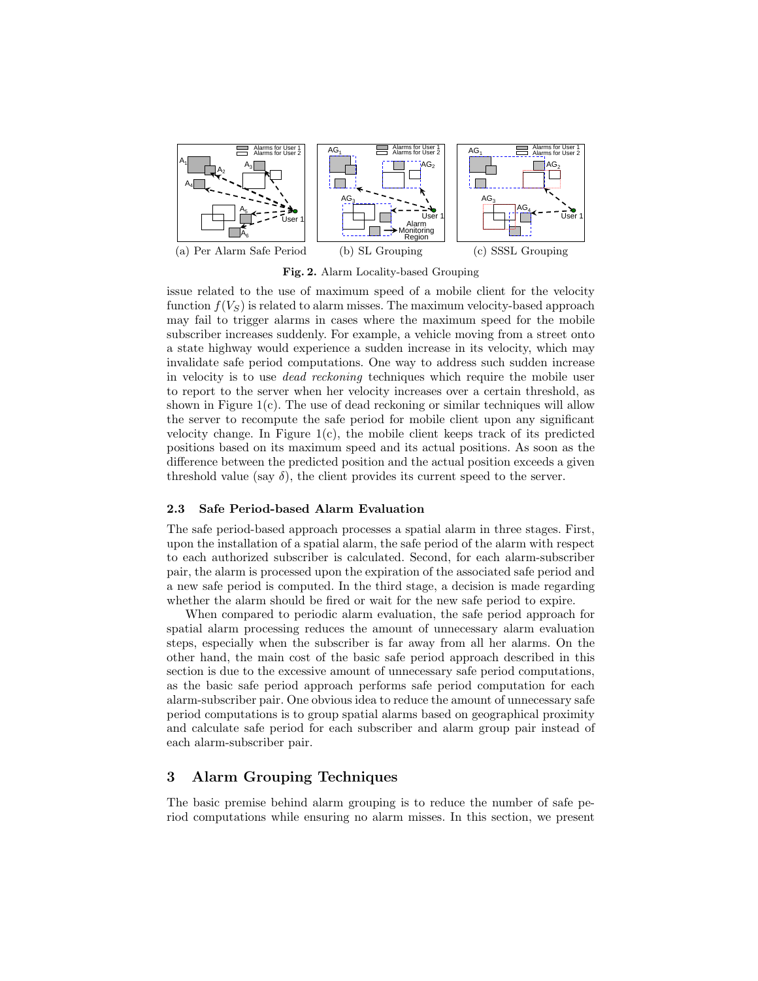

Fig. 2. Alarm Locality-based Grouping

issue related to the use of maximum speed of a mobile client for the velocity function  $f(V<sub>S</sub>)$  is related to alarm misses. The maximum velocity-based approach may fail to trigger alarms in cases where the maximum speed for the mobile subscriber increases suddenly. For example, a vehicle moving from a street onto a state highway would experience a sudden increase in its velocity, which may invalidate safe period computations. One way to address such sudden increase in velocity is to use dead reckoning techniques which require the mobile user to report to the server when her velocity increases over a certain threshold, as shown in Figure 1(c). The use of dead reckoning or similar techniques will allow the server to recompute the safe period for mobile client upon any significant velocity change. In Figure  $1(c)$ , the mobile client keeps track of its predicted positions based on its maximum speed and its actual positions. As soon as the difference between the predicted position and the actual position exceeds a given threshold value (say  $\delta$ ), the client provides its current speed to the server.

## 2.3 Safe Period-based Alarm Evaluation

The safe period-based approach processes a spatial alarm in three stages. First, upon the installation of a spatial alarm, the safe period of the alarm with respect to each authorized subscriber is calculated. Second, for each alarm-subscriber pair, the alarm is processed upon the expiration of the associated safe period and a new safe period is computed. In the third stage, a decision is made regarding whether the alarm should be fired or wait for the new safe period to expire.

When compared to periodic alarm evaluation, the safe period approach for spatial alarm processing reduces the amount of unnecessary alarm evaluation steps, especially when the subscriber is far away from all her alarms. On the other hand, the main cost of the basic safe period approach described in this section is due to the excessive amount of unnecessary safe period computations, as the basic safe period approach performs safe period computation for each alarm-subscriber pair. One obvious idea to reduce the amount of unnecessary safe period computations is to group spatial alarms based on geographical proximity and calculate safe period for each subscriber and alarm group pair instead of each alarm-subscriber pair.

## 3 Alarm Grouping Techniques

The basic premise behind alarm grouping is to reduce the number of safe period computations while ensuring no alarm misses. In this section, we present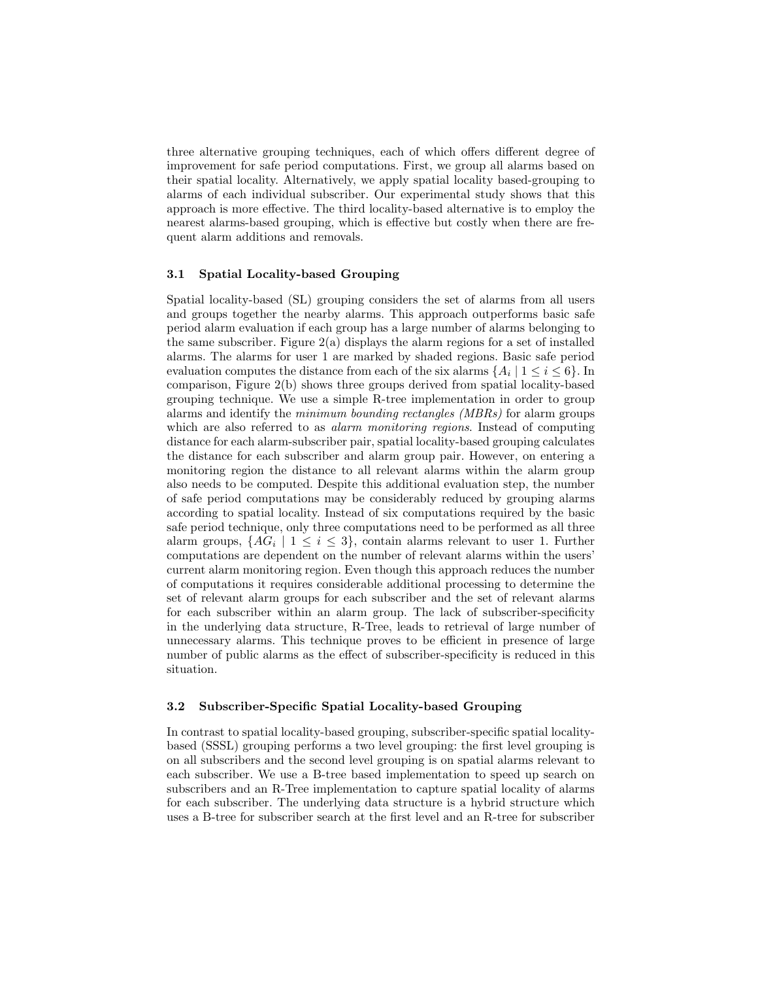three alternative grouping techniques, each of which offers different degree of improvement for safe period computations. First, we group all alarms based on their spatial locality. Alternatively, we apply spatial locality based-grouping to alarms of each individual subscriber. Our experimental study shows that this approach is more effective. The third locality-based alternative is to employ the nearest alarms-based grouping, which is effective but costly when there are frequent alarm additions and removals.

## 3.1 Spatial Locality-based Grouping

Spatial locality-based (SL) grouping considers the set of alarms from all users and groups together the nearby alarms. This approach outperforms basic safe period alarm evaluation if each group has a large number of alarms belonging to the same subscriber. Figure  $2(a)$  displays the alarm regions for a set of installed alarms. The alarms for user 1 are marked by shaded regions. Basic safe period evaluation computes the distance from each of the six alarms  $\{A_i \mid 1 \leq i \leq 6\}$ . In comparison, Figure 2(b) shows three groups derived from spatial locality-based grouping technique. We use a simple R-tree implementation in order to group alarms and identify the minimum bounding rectangles (MBRs) for alarm groups which are also referred to as *alarm monitoring regions*. Instead of computing distance for each alarm-subscriber pair, spatial locality-based grouping calculates the distance for each subscriber and alarm group pair. However, on entering a monitoring region the distance to all relevant alarms within the alarm group also needs to be computed. Despite this additional evaluation step, the number of safe period computations may be considerably reduced by grouping alarms according to spatial locality. Instead of six computations required by the basic safe period technique, only three computations need to be performed as all three alarm groups,  $\{AG_i \mid 1 \leq i \leq 3\}$ , contain alarms relevant to user 1. Further computations are dependent on the number of relevant alarms within the users' current alarm monitoring region. Even though this approach reduces the number of computations it requires considerable additional processing to determine the set of relevant alarm groups for each subscriber and the set of relevant alarms for each subscriber within an alarm group. The lack of subscriber-specificity in the underlying data structure, R-Tree, leads to retrieval of large number of unnecessary alarms. This technique proves to be efficient in presence of large number of public alarms as the effect of subscriber-specificity is reduced in this situation.

## 3.2 Subscriber-Specific Spatial Locality-based Grouping

In contrast to spatial locality-based grouping, subscriber-specific spatial localitybased (SSSL) grouping performs a two level grouping: the first level grouping is on all subscribers and the second level grouping is on spatial alarms relevant to each subscriber. We use a B-tree based implementation to speed up search on subscribers and an R-Tree implementation to capture spatial locality of alarms for each subscriber. The underlying data structure is a hybrid structure which uses a B-tree for subscriber search at the first level and an R-tree for subscriber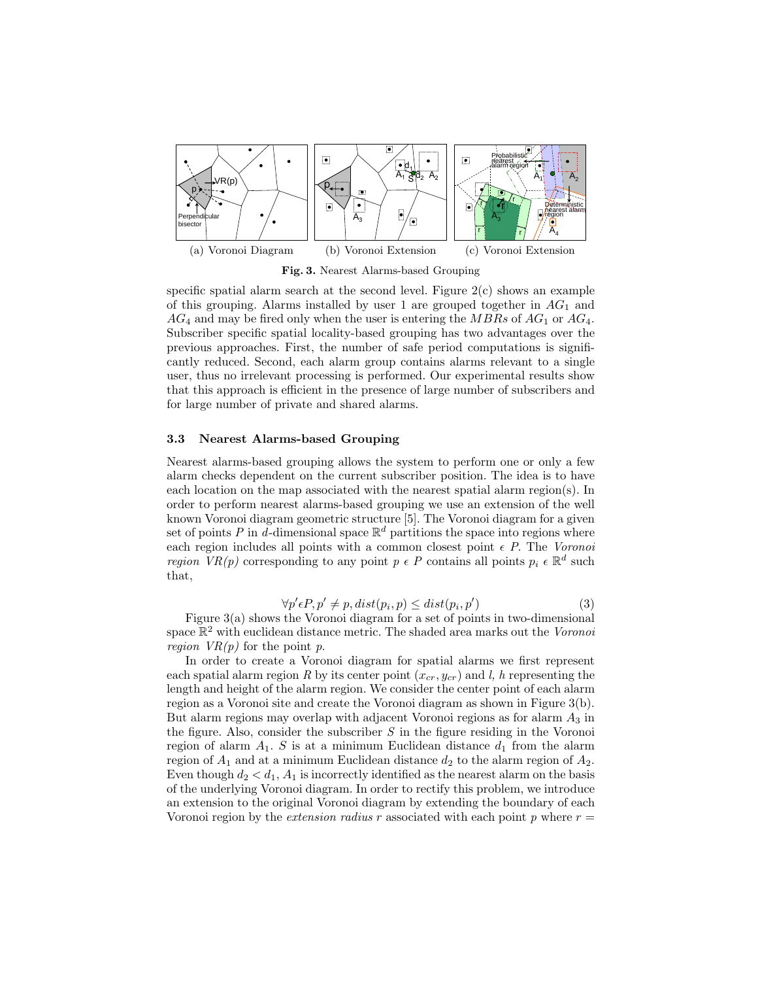

Fig. 3. Nearest Alarms-based Grouping

specific spatial alarm search at the second level. Figure  $2(c)$  shows an example of this grouping. Alarms installed by user 1 are grouped together in  $AG_1$  and  $AG_4$  and may be fired only when the user is entering the MBRs of  $AG_1$  or  $AG_4$ . Subscriber specific spatial locality-based grouping has two advantages over the previous approaches. First, the number of safe period computations is significantly reduced. Second, each alarm group contains alarms relevant to a single user, thus no irrelevant processing is performed. Our experimental results show that this approach is efficient in the presence of large number of subscribers and for large number of private and shared alarms.

## 3.3 Nearest Alarms-based Grouping

Nearest alarms-based grouping allows the system to perform one or only a few alarm checks dependent on the current subscriber position. The idea is to have each location on the map associated with the nearest spatial alarm region(s). In order to perform nearest alarms-based grouping we use an extension of the well known Voronoi diagram geometric structure [5]. The Voronoi diagram for a given set of points P in d-dimensional space  $\mathbb{R}^d$  partitions the space into regions where each region includes all points with a common closest point  $\epsilon$  P. The Voronoi *region*  $\overline{VR}(p)$  corresponding to any point  $p \in P$  contains all points  $p_i \in \mathbb{R}^d$  such that,

$$
\forall p' \epsilon P, p' \neq p, dist(p_i, p) \leq dist(p_i, p') \tag{3}
$$

Figure 3(a) shows the Voronoi diagram for a set of points in two-dimensional space  $\mathbb{R}^2$  with euclidean distance metric. The shaded area marks out the Voronoi *region*  $VR(p)$  for the point p.

In order to create a Voronoi diagram for spatial alarms we first represent each spatial alarm region R by its center point  $(x_{cr}, y_{cr})$  and l, h representing the length and height of the alarm region. We consider the center point of each alarm region as a Voronoi site and create the Voronoi diagram as shown in Figure 3(b). But alarm regions may overlap with adjacent Voronoi regions as for alarm  $A_3$  in the figure. Also, consider the subscriber  $S$  in the figure residing in the Voronoi region of alarm  $A_1$ . S is at a minimum Euclidean distance  $d_1$  from the alarm region of  $A_1$  and at a minimum Euclidean distance  $d_2$  to the alarm region of  $A_2$ . Even though  $d_2 < d_1$ ,  $A_1$  is incorrectly identified as the nearest alarm on the basis of the underlying Voronoi diagram. In order to rectify this problem, we introduce an extension to the original Voronoi diagram by extending the boundary of each Voronoi region by the *extension radius r* associated with each point p where  $r =$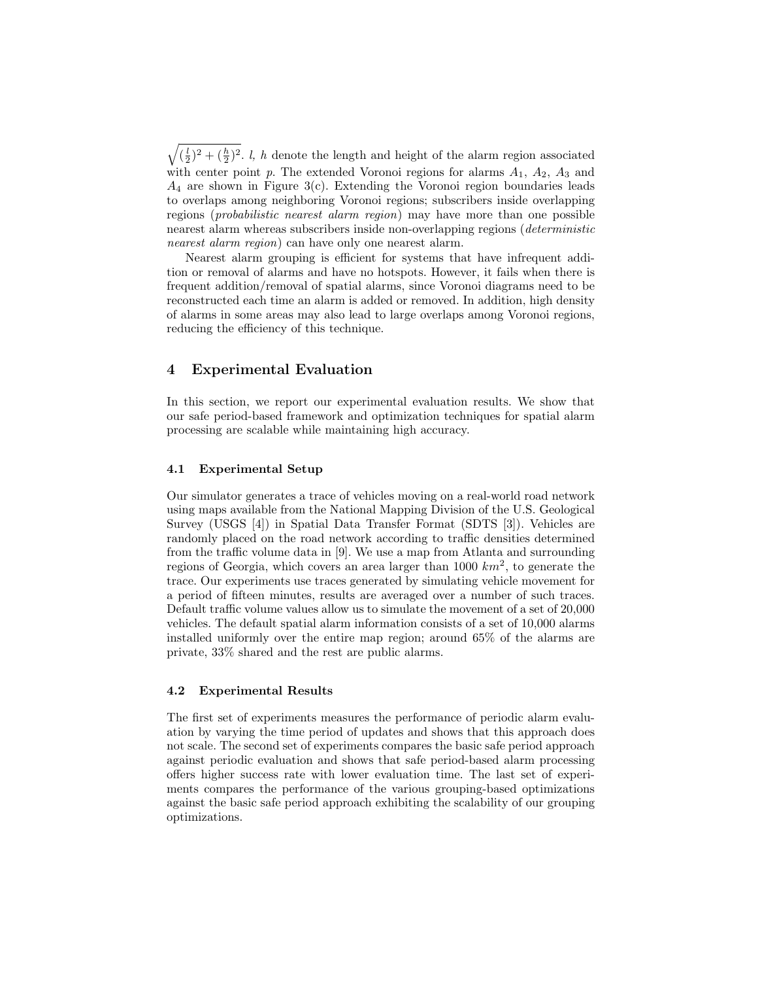$\sqrt{(\frac{l}{2})^2 + (\frac{h}{2})^2}$ . *l, h* denote the length and height of the alarm region associated with center point p. The extended Voronoi regions for alarms  $A_1$ ,  $A_2$ ,  $A_3$  and  $A_4$  are shown in Figure 3(c). Extending the Voronoi region boundaries leads to overlaps among neighboring Voronoi regions; subscribers inside overlapping regions (probabilistic nearest alarm region) may have more than one possible nearest alarm whereas subscribers inside non-overlapping regions (*deterministic* nearest alarm region) can have only one nearest alarm.

Nearest alarm grouping is efficient for systems that have infrequent addition or removal of alarms and have no hotspots. However, it fails when there is frequent addition/removal of spatial alarms, since Voronoi diagrams need to be reconstructed each time an alarm is added or removed. In addition, high density of alarms in some areas may also lead to large overlaps among Voronoi regions, reducing the efficiency of this technique.

# 4 Experimental Evaluation

In this section, we report our experimental evaluation results. We show that our safe period-based framework and optimization techniques for spatial alarm processing are scalable while maintaining high accuracy.

## 4.1 Experimental Setup

Our simulator generates a trace of vehicles moving on a real-world road network using maps available from the National Mapping Division of the U.S. Geological Survey (USGS [4]) in Spatial Data Transfer Format (SDTS [3]). Vehicles are randomly placed on the road network according to traffic densities determined from the traffic volume data in [9]. We use a map from Atlanta and surrounding regions of Georgia, which covers an area larger than  $1000\ km^2$ , to generate the trace. Our experiments use traces generated by simulating vehicle movement for a period of fifteen minutes, results are averaged over a number of such traces. Default traffic volume values allow us to simulate the movement of a set of 20,000 vehicles. The default spatial alarm information consists of a set of 10,000 alarms installed uniformly over the entire map region; around 65% of the alarms are private, 33% shared and the rest are public alarms.

## 4.2 Experimental Results

The first set of experiments measures the performance of periodic alarm evaluation by varying the time period of updates and shows that this approach does not scale. The second set of experiments compares the basic safe period approach against periodic evaluation and shows that safe period-based alarm processing offers higher success rate with lower evaluation time. The last set of experiments compares the performance of the various grouping-based optimizations against the basic safe period approach exhibiting the scalability of our grouping optimizations.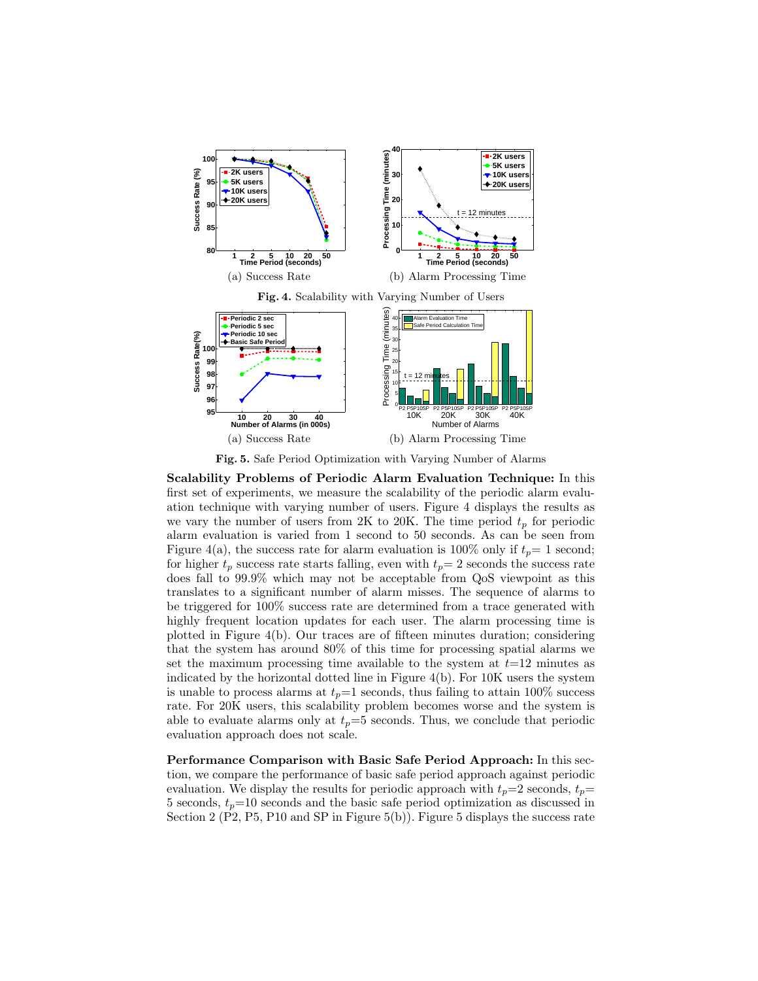

Fig. 5. Safe Period Optimization with Varying Number of Alarms

Scalability Problems of Periodic Alarm Evaluation Technique: In this first set of experiments, we measure the scalability of the periodic alarm evaluation technique with varying number of users. Figure 4 displays the results as we vary the number of users from 2K to 20K. The time period  $t_p$  for periodic alarm evaluation is varied from 1 second to 50 seconds. As can be seen from Figure 4(a), the success rate for alarm evaluation is 100% only if  $t_p=1$  second; for higher  $t_p$  success rate starts falling, even with  $t_p=2$  seconds the success rate does fall to 99.9% which may not be acceptable from QoS viewpoint as this translates to a significant number of alarm misses. The sequence of alarms to be triggered for 100% success rate are determined from a trace generated with highly frequent location updates for each user. The alarm processing time is plotted in Figure 4(b). Our traces are of fifteen minutes duration; considering that the system has around 80% of this time for processing spatial alarms we set the maximum processing time available to the system at  $t=12$  minutes as indicated by the horizontal dotted line in Figure 4(b). For 10K users the system is unable to process alarms at  $t_p=1$  seconds, thus failing to attain 100% success rate. For 20K users, this scalability problem becomes worse and the system is able to evaluate alarms only at  $t_p=5$  seconds. Thus, we conclude that periodic evaluation approach does not scale.

Performance Comparison with Basic Safe Period Approach: In this section, we compare the performance of basic safe period approach against periodic evaluation. We display the results for periodic approach with  $t_p=2$  seconds,  $t_p=$ 5 seconds,  $t_p=10$  seconds and the basic safe period optimization as discussed in Section 2 (P2, P5, P10 and SP in Figure 5(b)). Figure 5 displays the success rate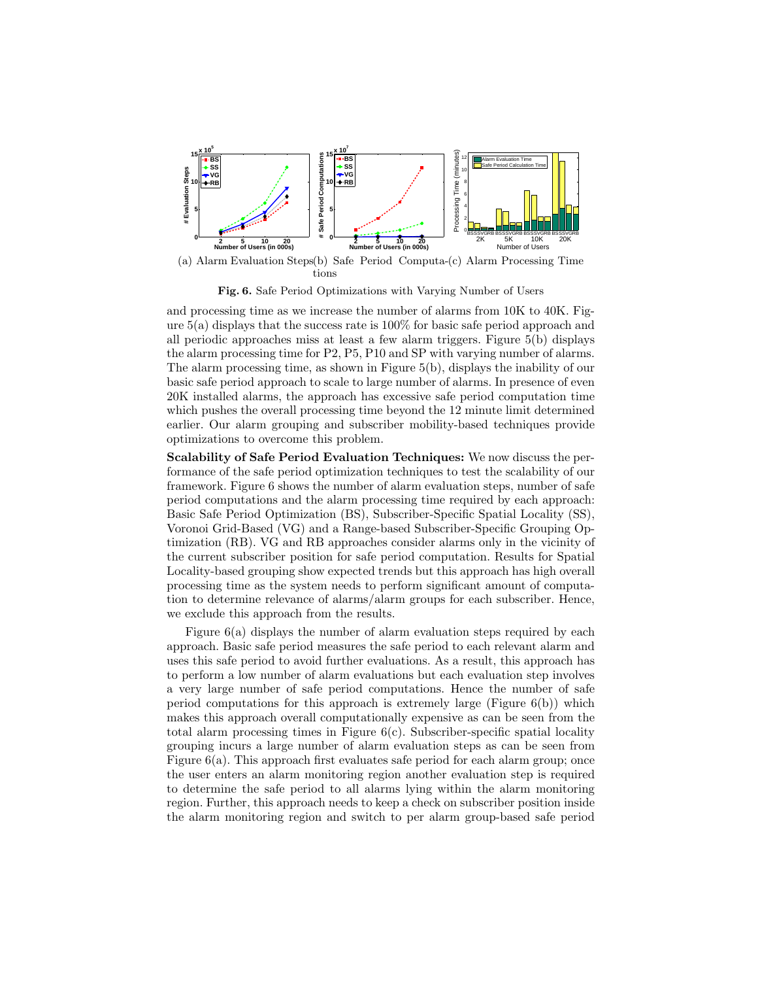

Fig. 6. Safe Period Optimizations with Varying Number of Users

and processing time as we increase the number of alarms from 10K to 40K. Figure 5(a) displays that the success rate is 100% for basic safe period approach and all periodic approaches miss at least a few alarm triggers. Figure 5(b) displays the alarm processing time for P2, P5, P10 and SP with varying number of alarms. The alarm processing time, as shown in Figure 5(b), displays the inability of our basic safe period approach to scale to large number of alarms. In presence of even 20K installed alarms, the approach has excessive safe period computation time which pushes the overall processing time beyond the 12 minute limit determined earlier. Our alarm grouping and subscriber mobility-based techniques provide optimizations to overcome this problem.

Scalability of Safe Period Evaluation Techniques: We now discuss the performance of the safe period optimization techniques to test the scalability of our framework. Figure 6 shows the number of alarm evaluation steps, number of safe period computations and the alarm processing time required by each approach: Basic Safe Period Optimization (BS), Subscriber-Specific Spatial Locality (SS), Voronoi Grid-Based (VG) and a Range-based Subscriber-Specific Grouping Optimization (RB). VG and RB approaches consider alarms only in the vicinity of the current subscriber position for safe period computation. Results for Spatial Locality-based grouping show expected trends but this approach has high overall processing time as the system needs to perform significant amount of computation to determine relevance of alarms/alarm groups for each subscriber. Hence, we exclude this approach from the results.

Figure 6(a) displays the number of alarm evaluation steps required by each approach. Basic safe period measures the safe period to each relevant alarm and uses this safe period to avoid further evaluations. As a result, this approach has to perform a low number of alarm evaluations but each evaluation step involves a very large number of safe period computations. Hence the number of safe period computations for this approach is extremely large (Figure 6(b)) which makes this approach overall computationally expensive as can be seen from the total alarm processing times in Figure  $6(c)$ . Subscriber-specific spatial locality grouping incurs a large number of alarm evaluation steps as can be seen from Figure 6(a). This approach first evaluates safe period for each alarm group; once the user enters an alarm monitoring region another evaluation step is required to determine the safe period to all alarms lying within the alarm monitoring region. Further, this approach needs to keep a check on subscriber position inside the alarm monitoring region and switch to per alarm group-based safe period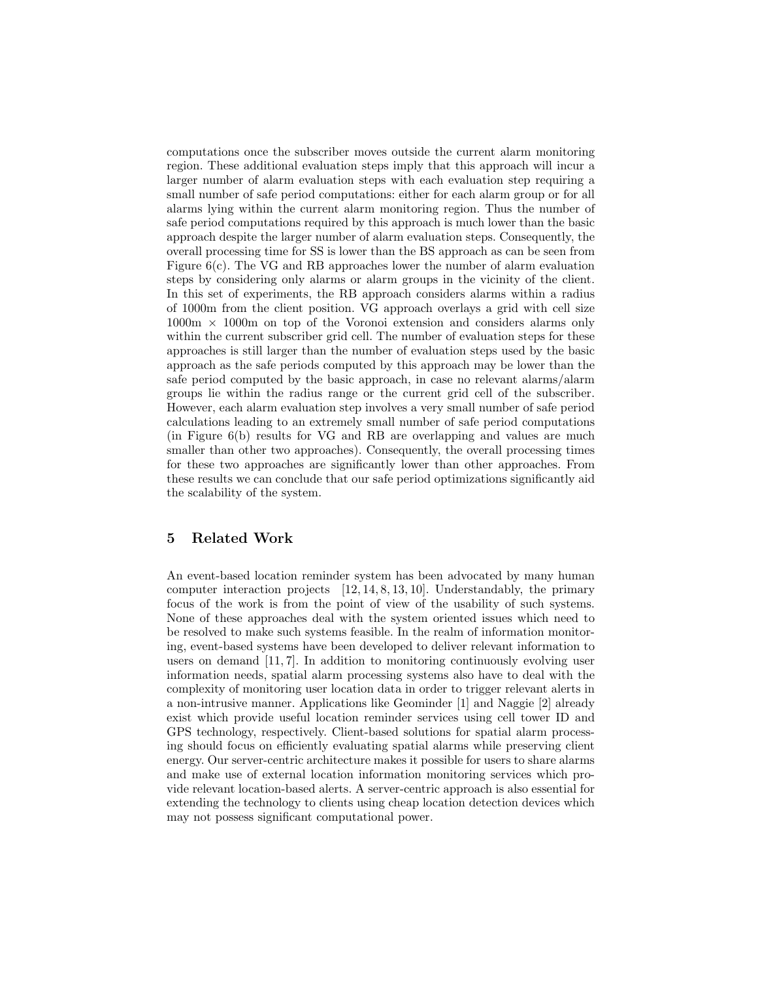computations once the subscriber moves outside the current alarm monitoring region. These additional evaluation steps imply that this approach will incur a larger number of alarm evaluation steps with each evaluation step requiring a small number of safe period computations: either for each alarm group or for all alarms lying within the current alarm monitoring region. Thus the number of safe period computations required by this approach is much lower than the basic approach despite the larger number of alarm evaluation steps. Consequently, the overall processing time for SS is lower than the BS approach as can be seen from Figure 6(c). The VG and RB approaches lower the number of alarm evaluation steps by considering only alarms or alarm groups in the vicinity of the client. In this set of experiments, the RB approach considers alarms within a radius of 1000m from the client position. VG approach overlays a grid with cell size 1000m × 1000m on top of the Voronoi extension and considers alarms only within the current subscriber grid cell. The number of evaluation steps for these approaches is still larger than the number of evaluation steps used by the basic approach as the safe periods computed by this approach may be lower than the safe period computed by the basic approach, in case no relevant alarms/alarm groups lie within the radius range or the current grid cell of the subscriber. However, each alarm evaluation step involves a very small number of safe period calculations leading to an extremely small number of safe period computations (in Figure 6(b) results for VG and RB are overlapping and values are much smaller than other two approaches). Consequently, the overall processing times for these two approaches are significantly lower than other approaches. From these results we can conclude that our safe period optimizations significantly aid the scalability of the system.

# 5 Related Work

An event-based location reminder system has been advocated by many human computer interaction projects [12, 14, 8, 13, 10]. Understandably, the primary focus of the work is from the point of view of the usability of such systems. None of these approaches deal with the system oriented issues which need to be resolved to make such systems feasible. In the realm of information monitoring, event-based systems have been developed to deliver relevant information to users on demand [11, 7]. In addition to monitoring continuously evolving user information needs, spatial alarm processing systems also have to deal with the complexity of monitoring user location data in order to trigger relevant alerts in a non-intrusive manner. Applications like Geominder [1] and Naggie [2] already exist which provide useful location reminder services using cell tower ID and GPS technology, respectively. Client-based solutions for spatial alarm processing should focus on efficiently evaluating spatial alarms while preserving client energy. Our server-centric architecture makes it possible for users to share alarms and make use of external location information monitoring services which provide relevant location-based alerts. A server-centric approach is also essential for extending the technology to clients using cheap location detection devices which may not possess significant computational power.